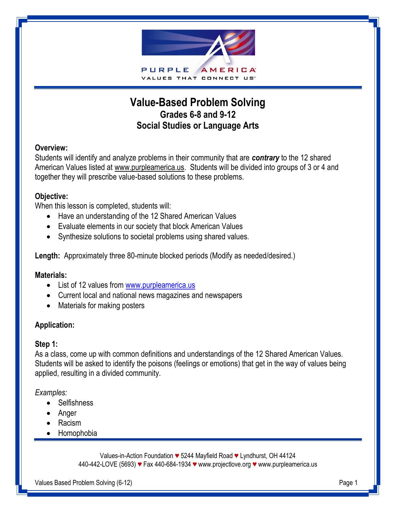

# **Value-Based Problem Solving Grades 6-8 and 9-12 Social Studies or Language Arts**

#### **Overview:**

Students will identify and analyze problems in their community that are *contrary* to the 12 shared American Values listed at www.purpleamerica.us. Students will be divided into groups of 3 or 4 and together they will prescribe value-based solutions to these problems.

#### **Objective:**

When this lesson is completed, students will:

- Have an understanding of the 12 Shared American Values
- Evaluate elements in our society that block American Values
- Synthesize solutions to societal problems using shared values.

**Length:** Approximately three 80-minute blocked periods (Modify as needed/desired.)

#### **Materials:**

- List of 12 values from [www.purpleamerica.us](http://www.purpleamerica.us/)
- Current local and national news magazines and newspapers
- Materials for making posters

## **Application:**

#### **Step 1:**

As a class, come up with common definitions and understandings of the 12 Shared American Values. Students will be asked to identify the poisons (feelings or emotions) that get in the way of values being applied, resulting in a divided community.

#### *Examples:*

- Selfishness
- Anger
- Racism
- Homophobia

Values-in-Action Foundation *♥* 5244 Mayfield Road *♥* Lyndhurst, OH 44124 440-442-LOVE (5693) *♥* Fax 440-684-1934 *♥* www.projectlove.org *♥* www.purpleamerica.us

Values Based Problem Solving (6-12) **Page 1** Page 1